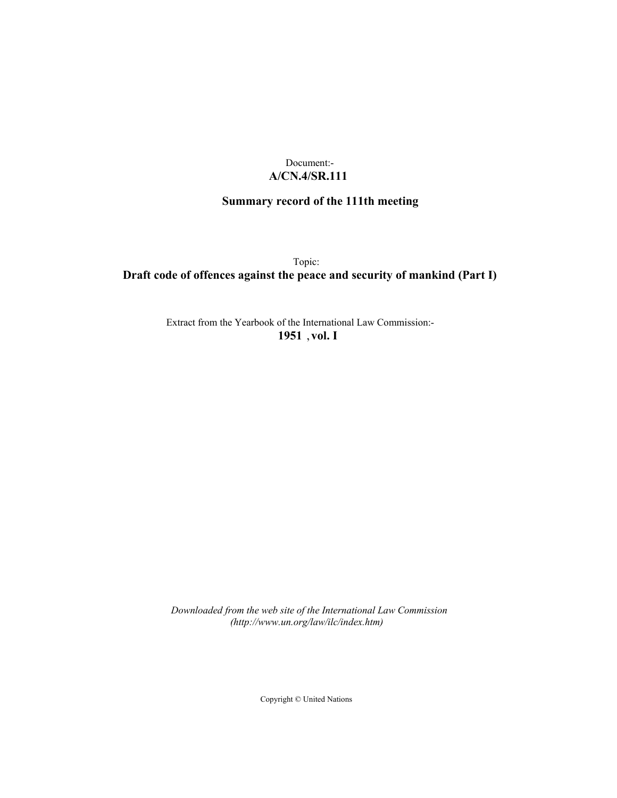## Document:- **A/CN.4/SR.111**

# **Summary record of the 111th meeting**

Topic:

# **Draft code of offences against the peace and security of mankind (Part I)**

Extract from the Yearbook of the International Law Commission:- **1951** ,**vol. I**

*Downloaded from the web site of the International Law Commission (http://www.un.org/law/ilc/index.htm)*

Copyright © United Nations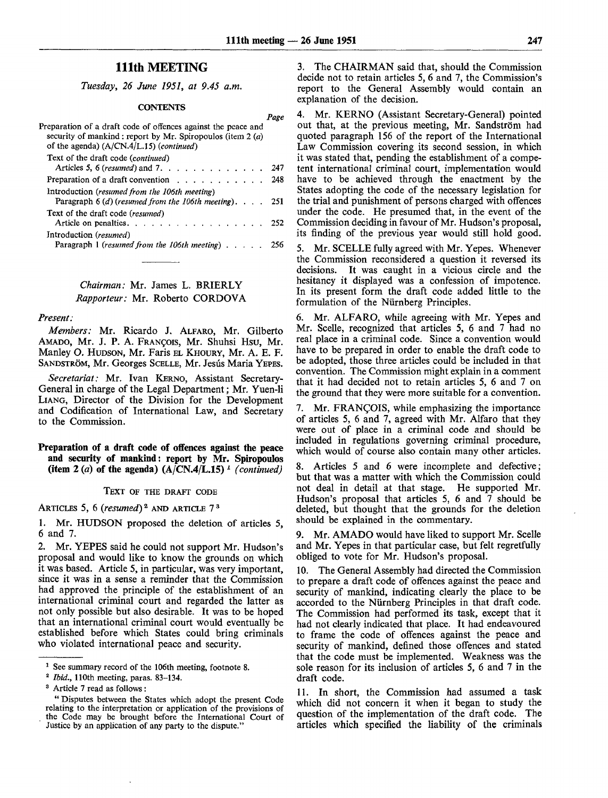*Page*

## 111th MEETING

*Tuesday, 26 June 1951, at 9.45 a.m.*

#### **CONTENTS**

| Preparation of a draft code of offences against the peace and<br>security of mankind; report by Mr. Spiropoulos (item 2 ( <i>a</i> )<br>of the agenda) $(A/CN.4/L.15)$ (continued) |      |
|------------------------------------------------------------------------------------------------------------------------------------------------------------------------------------|------|
| Text of the draft code (continued)<br>Articles 5, 6 ( <i>resumed</i> ) and 7.                                                                                                      | -247 |
| Preparation of a draft convention $\ldots$ , $\ldots$ , $\ldots$                                                                                                                   | 248  |
| Introduction (resumed from the 106th meeting)<br>Paragraph $6(d)$ (resumed from the 106th meeting). 251                                                                            |      |
| Text of the draft code (resumed)<br>Article on penalties. $\ldots$ $\ldots$ $\ldots$ $\ldots$ $\ldots$ $\ldots$ 252                                                                |      |
| Introduction (resumed)<br>Paragraph 1 (resumed from the 106th meeting) $\ldots$                                                                                                    | 256  |

*Chairman:* Mr. James L. BRIERLY *Rapporteur:* Mr. Roberto CORDOVA

#### *Present:*

*Members:* Mr. Ricardo J. ALFARO, Mr. Gilberto AMADO, Mr. J. P. A. FRANÇOIS, Mr. Shuhsi Hsu, Mr. Manley O. HUDSON, Mr. Fans EL KHOURY, Mr. A. E. F. SANDSTRÖM, Mr. Georges SCELLE, Mr. Jesús Maria YEPES.

*Secretariat:* Mr. Ivan KERNO, Assistant Secretary-General in charge of the Legal Department; Mr. Yuen-li LIANG, Director of the Division for the Development and Codification of International Law, and Secretary to the Commission.

## **Preparation of a draft code of offences against the peace and security of mankind: report by Mr. Spiropoulos (item 2** *(a)* **of the agenda) (A/CN.4/L.15)** *<sup>1</sup> (continued)*

#### TEXT OF THE DRAFT CODE

ARTICLES 5, 6 (*resumed*)<sup>2</sup> AND ARTICLE 7<sup>3</sup>

1. Mr. HUDSON proposed the deletion of articles 5, 6 and 7.

2. Mr. YEPES said he could not support Mr. Hudson's proposal and would like to know the grounds on which it was based. Article 5, in particular, was very important, since it was in a sense a reminder that the Commission had approved the principle of the establishment of an international criminal court and regarded the latter as not only possible but also desirable. It was to be hoped that an international criminal court would eventually be established before which States could bring criminals who violated international peace and security.

3. The CHAIRMAN said that, should the Commission decide not to retain articles 5, 6 and 7, the Commission's report to the General Assembly would contain an explanation of the decision.

4. Mr. KERNO (Assistant Secretary-General) pointed out that, at the previous meeting, Mr. Sandstrom had quoted paragraph 156 of the report of the International Law Commission covering its second session, in which it was stated that, pending the establishment of a competent international criminal court, implementation would have to be achieved through the enactment by the States adopting the code of the necessary legislation for the trial and punishment of persons charged with offences under the code. He presumed that, in the event of the Commission deciding in favour of Mr. Hudson's proposal, its finding of the previous year would still hold good.

5. Mr. SCELLE fully agreed with Mr. Yepes. Whenever the Commission reconsidered a question it reversed its decisions. It was caught in a vicious circle and the hesitancy it displayed was a confession of impotence. In its present form the draft code added little to the formulation of the Nurnberg Principles.

6. Mr. ALFARO, while agreeing with Mr. Yepes and Mr. Scelle, recognized that articles 5, 6 and 7 had no real place in a criminal code. Since a convention would have to be prepared in order to enable the draft code to be adopted, those three articles could be included in that convention. The Commission might explain in a comment that it had decided not to retain articles 5, 6 and 7 on the ground that they were more suitable for a convention.

7. Mr. FRANCOIS, while emphasizing the importance of articles 5, 6 and 7, agreed with Mr. Alfaro that they were out of place in a criminal code and should be included in regulations governing criminal procedure, which would of course also contain many other articles.

8. Articles 5 and 6 were incomplete and defective; but that was a matter with which the Commission could not deal in detail at that stage. He supported Mr. Hudson's proposal that articles 5, 6 and  $\overline{7}$  should be deleted, but thought that the grounds for the deletion should be explained in the commentary.

9. Mr. AMADO would have liked to support Mr. Scelle and Mr. Yepes in that particular case, but felt regretfully obliged to vote for Mr. Hudson's proposal.

10. The General Assembly had directed the Commission to prepare a draft code of offences against the peace and security of mankind, indicating clearly the place to be accorded to the Nurnberg Principles in that draft code. The Commission had performed its task, except that it had not clearly indicated that place. It had endeavoured to frame the code of offences against the peace and security of mankind, defined those offences and stated that the code must be implemented. Weakness was the sole reason for its inclusion of articles 5, 6 and 7 in the draft code.

11. In short, the Commission had assumed a task which did not concern it when it began to study the question of the implementation of the draft code. The articles which specified the liability of the criminals

<sup>&</sup>lt;sup>1</sup> See summary record of the 106th meeting, footnote 8.

<sup>2</sup>  *Ibid.,* 110th meeting, paras. 83-134.

<sup>3</sup> Article 7 read as follows :

<sup>&</sup>quot; Disputes between the States which adopt the present Code relating to the interpretation or application of the provisions of the Code may be brought before the International Court of Justice by an application of any party to the dispute."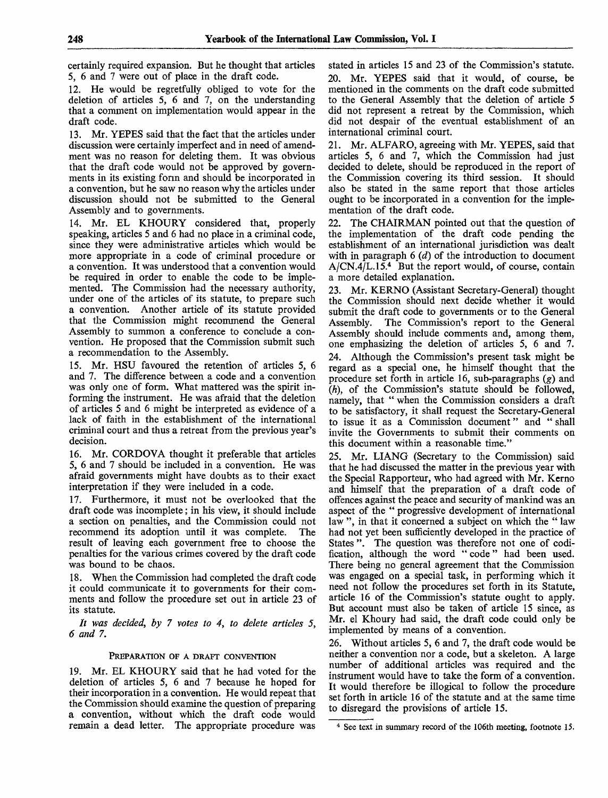certainly required expansion. But he thought that articles 5, 6 and 7 were out of place in the draft code.

12. He would be regretfully obliged to vote for the deletion of articles 5, 6 and 7, on the understanding that a comment on implementation would appear in the draft code.

13. Mr. YEPES said that the fact that the articles under discussion were certainly imperfect and in need of amendment was no reason for deleting them. It was obvious that the draft code would not be approved by governments in its existing form and should be incorporated in a convention, but he saw no reason why the articles under discussion should not be submitted to the General Assembly and to governments.

14. Mr. EL KHOURY considered that, properly speaking, articles 5 and 6 had no place in a criminal code, since they were administrative articles which would be more appropriate in a code of criminal procedure or a convention. It was understood that a convention would be required in order to enable the code to be implemented. The Commission had the necessary authority, under one of the articles of its statute, to prepare such a convention. Another article of its statute provided that the Commission might recommend the General Assembly to summon a conference to conclude a convention. He proposed that the Commission submit such a recommendation to the Assembly.

15. Mr. HSU favoured the retention of articles 5, 6 and 7. The difference between a code and a convention was only one of form. What mattered was the spirit informing the instrument. He was afraid that the deletion of articles 5 and 6 might be interpreted as evidence of a lack of faith in the establishment of the international criminal court and thus a retreat from the previous year's decision.

16. Mr. CORDOVA thought it preferable that articles 5, 6 and 7 should be included in a convention. He was afraid governments might have doubts as to their exact interpretation if they were included in a code.

17. Furthermore, it must not be overlooked that the draft code was incomplete; in his view, it should include a section on penalties, and the Commission could not recommend its adoption until it was complete. The result of leaving each government free to choose the penalties for the various crimes covered by the draft code was bound to be chaos.

18. When the Commission had completed the draft code it could communicate it to governments for their comments and follow the procedure set out in article 23 of its statute.

*It was decided, by 7 votes to 4, to delete articles 5, 6 and 7.*

## PREPARATION OF A DRAFT CONVENTION

19. Mr. EL KHOURY said that he had voted for the deletion of articles 5, 6 and 7 because he hoped for their incorporation in a convention. He would repeat that the Commission should examine the question of preparing a convention, without which the draft code would remain a dead letter. The appropriate procedure was stated in articles 15 and 23 of the Commission's statute. Mr. YEPES said that it would, of course, be mentioned in the comments on the draft code submitted to the General Assembly that the deletion of article 5 did not represent a retreat by the Commission, which did not despair of the eventual establishment of an international criminal court.

21. Mr. ALFARO, agreeing with Mr. YEPES, said that articles 5, 6 and 7, which the Commission had just decided to delete, should be reproduced in the report of the Commission covering its third session. It should also be stated in the same report that those articles ought to be incorporated in a convention for the implementation of the draft code.

22. The CHAIRMAN pointed out that the question of the implementation of the draft code pending the establishment of an international jurisdiction was dealt with in paragraph 6 *(d)* of the introduction to document A/CN.4/L.15.<sup>4</sup> But the report would, of course, contain a more detailed explanation.

23. Mr. KERNO (Assistant Secretary-General) thought the Commission should next decide whether it would submit the draft code to governments or to the General<br>Assembly. The Commission's report to the General The Commission's report to the General Assembly should include comments and, among them, one emphasizing the deletion of articles 5, 6 and 7. 24. Although the Commission's present task might be regard as a special one, he himself thought that the procedure set forth in article 16, sub-paragraphs *(g)* and *(h),* of the Commission's statute should be followed, namely, that " when the Commission considers a draft to be satisfactory, it shall request the Secretary-General to issue it as a Commission document" and " shall invite the Governments to submit their comments on this document within a reasonable time."

25. Mr. LIANG (Secretary to the Commission) said that he had discussed the matter in the previous year with the Special Rapporteur, who had agreed with Mr. Kerno and himself that the preparation of a draft code of offences against the peace and security of mankind was an aspect of the " progressive development of international law", in that it concerned a subject on which the "law had not yet been sufficiently developed in the practice of States ". The question was therefore not one of codification, although the word " code" had been used. There being no general agreement that the Commission was engaged on a special task, in performing which it need not follow the procedures set forth in its Statute, article 16 of the Commission's statute ought to apply. But account must also be taken of article 15 since, as Mr. el Khoury had said, the draft code could only be implemented by means of a convention.

26. Without articles 5, 6 and 7, the draft code would be neither a convention nor a code, but a skeleton. A large number of additional articles was required and the instrument would have to take the form of a convention. It would therefore be illogical to follow the procedure set forth in article 16 of the statute and at the same time to disregard the provisions of article 15.

<sup>&</sup>lt;sup>4</sup> See text in summary record of the 106th meeting, footnote 15.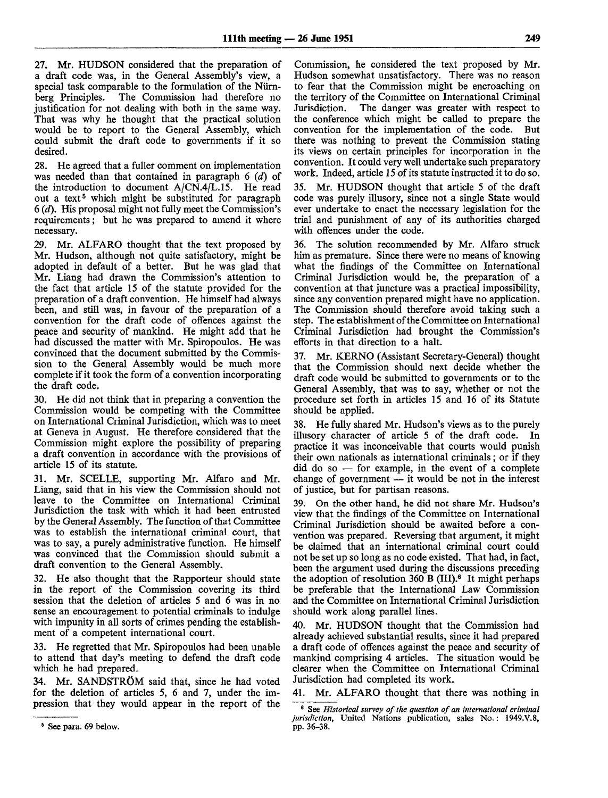27. Mr. HUDSON considered that the preparation of a draft code was, in the General Assembly's view, a special task comparable to the formulation of the Nürn-<br>berg Principles. The Commission had therefore no The Commission had therefore no justification for not dealing with both in the same way. That was why he thought that the practical solution would be to report to the General Assembly, which could submit the draft code to governments if it so desired.

28. He agreed that a fuller comment on implementation was needed than that contained in paragraph 6 *(d)* of the introduction to document  $A/CN.4/L.15$ . He read out a text<sup>5</sup> which might be substituted for paragraph 6 *{d).* His proposal might not fully meet the Commission's requirements; but he was prepared to amend it where necessary.

29. Mr. ALFARO thought that the text proposed by Mr. Hudson, although not quite satisfactory, might be adopted in default of a better. But he was glad that Mr. Liang had drawn the Commission's attention to the fact that article 15 of the statute provided for the preparation of a draft convention. He himself had always been, and still was, in favour of the preparation of a convention for the draft code of offences against the peace and security of mankind. He might add that he had discussed the matter with Mr. Spiropoulos. He was convinced that the document submitted by the Commission to the General Assembly would be much more complete if it took the form of a convention incorporating the draft code.

30. He did not think that in preparing a convention the Commission would be competing with the Committee on International Criminal Jurisdiction, which was to meet at Geneva in August. He therefore considered that the Commission might explore the possibility of preparing a draft convention in accordance with the provisions of article 15 of its statute.

31. Mr. SCELLE, supporting Mr. Alfaro and Mr. Liang, said that in his view the Commission should not leave to the Committee on International Criminal Jurisdiction the task with which it had been entrusted by the General Assembly. The function of that Committee was to establish the international criminal court, that was to say, a purely administrative function. He himself was convinced that the Commission should submit a draft convention to the General Assembly.

32. He also thought that the Rapporteur should state in the report of the Commission covering its third session that the deletion of articles 5 and 6 was in no sense an encouragement to potential criminals to indulge with impunity in all sorts of crimes pending the establishment of a competent international court.

33. He regretted that Mr. Spiropoulos had been unable to attend that day's meeting to defend the draft code which he had prepared.

34. Mr. SANDSTROM said that, since he had voted for the deletion of articles 5, 6 and 7, under the impression that they would appear in the report of the

Commission, he considered the text proposed by Mr. Hudson somewhat unsatisfactory. There was no reason to fear that the Commission might be encroaching on the territory of the Committee on International Criminal Jurisdiction. The danger was greater with respect to The danger was greater with respect to the conference which might be called to prepare the convention for the implementation of the code. But there was nothing to prevent the Commission stating its views on certain principles for incorporation in the convention. It could very well undertake such preparatory work. Indeed, article 15 of its statute instructed it *to* do so.

35. Mr. HUDSON thought that article 5 of the draft code was purely illusory, since not a single State would ever undertake to enact the necessary legislation for the trial and punishment of any of its authorities charged with offences under the code.

36. The solution recommended by Mr. Alfaro struck him as premature. Since there were no means of knowing what the findings of the Committee on International Criminal Jurisdiction would be, the preparation of a convention at that juncture was a practical impossibility, since any convention prepared might have no application. The Commission should therefore avoid taking such a step. The establishment of the Committee on International Criminal Jurisdiction had brought the Commission's efforts in that direction to a halt.

37. Mr. KERNO (Assistant Secretary-General) thought that the Commission should next decide whether the draft code would be submitted to governments or to the General Assembly, that was to say, whether or not the procedure set forth in articles 15 and 16 of its Statute should be applied.

38. He fully shared Mr. Hudson's views as to the purely illusory character of article 5 of the draft code. In practice it was inconceivable that courts would punish their own nationals as international criminals; or if they did do so — for example, in the event of a complete change of government — it would be not in the interest of justice, but for partisan reasons.

39. On the other hand, he did not share Mr. Hudson's view that the findings of the Committee on International Criminal Jurisdiction should be awaited before a convention was prepared. Reversing that argument, it might be claimed that an international criminal court could not be set up so long as no code existed. That had, in fact, been the argument used during the discussions preceding the adoption of resolution 360 B (III).<sup>6</sup> It might perhaps be preferable that the International Law Commission and the Committee on International Criminal Jurisdiction should work along parallel lines.

40. Mr. HUDSON thought that the Commission had already achieved substantial results, since it had prepared a draft code of offences against the peace and security of mankind comprising 4 articles. The situation would be clearer when the Committee on International Criminal Jurisdiction had completed its work.

41. Mr. ALFARO thought that there was nothing in

<sup>6</sup> See para. 69 below.

<sup>6</sup> See *Historical survey of the question of an international criminal jurisdiction,* United Nations publication, sales No.: 1949.V.8, pp. 36-38.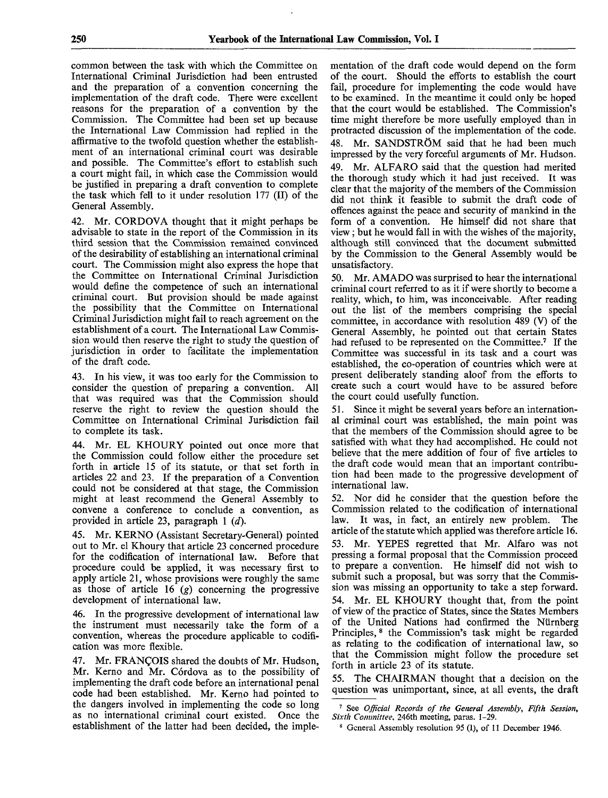common between the task with which the Committee on International Criminal Jurisdiction had been entrusted and the preparation of a convention concerning the implementation of the draft code. There were excellent reasons for the preparation of a convention by the Commission. The Committee had been set up because the International Law Commission had replied in the affirmative to the twofold question whether the establishment of an international criminal court was desirable and possible. The Committee's effort to establish such a court might fail, in which case the Commission would be justified in preparing a draft convention to complete the task which fell to it under resolution 177 (II) of the General Assembly.

42. Mr. CORDOVA thought that it might perhaps be advisable to state in the report of the Commission in its third session that the Commission remained convinced of the desirability of establishing an international criminal court. The Commission might also express the hope that the Committee on International Criminal Jurisdiction would define the competence of such an international criminal court. But provision should be made against the possibility that the Committee on International Criminal Jurisdiction might fail to reach agreement on the establishment of a court. The International Law Commission would then reserve the right to study the question of jurisdiction in order to facilitate the implementation of the draft code.

43. In his view, it was too early for the Commission to consider the question of preparing a convention. All that was required was that the Commission should reserve the right to review the question should the Committee on International Criminal Jurisdiction fail to complete its task.

44. Mr. EL KHOURY pointed out once more that the Commission could follow either the procedure set forth in article 15 of its statute, or that set forth in articles 22 and 23. If the preparation of a Convention could not be considered at that stage, the Commission might at least recommend the General Assembly to convene a conference to conclude a convention, as provided in article 23, paragraph 1 *(d).*

45. Mr. KERNO (Assistant Secretary-General) pointed out to Mr. el Khoury that article 23 concerned procedure for the codification of international law. Before that procedure could be applied, it was necessary first to apply article 21, whose provisions were roughly the same as those of article 16 *(g)* concerning the progressive development of international law.

46. In the progressive development of international law the instrument must necessarily take the form of a convention, whereas the procedure applicable to codification was more flexible.

47. Mr. FRANCOIS shared the doubts of Mr. Hudson, Mr. Kerno and Mr. Córdova as to the possibility of implementing the draft code before an international penal code had been established. Mr. Kerno had pointed to the dangers involved in implementing the code so long as no international criminal court existed. Once the establishment of the latter had been decided, the implementation of the draft code would depend on the form of the court. Should the efforts to establish the court fail, procedure for implementing the code would have to be examined. In the meantime it could only be hoped that the court would be established. The Commission's time might therefore be more usefully employed than in protracted discussion of the implementation of the code. 48. Mr. SANDSTRÖM said that he had been much impressed by the very forceful arguments of Mr. Hudson. 49. Mr. ALFARO said that the question had merited the thorough study which it had just received. It was clear that the majority of the members of the Commission did not think it feasible to submit the draft code of offences against the peace and security of mankind in the form of a convention. He himself did not share that view; but he would fall in with the wishes of the majority, although still convinced that the document submitted by the Commission to the General Assembly would be unsatisfactory.

50. Mr. AMADO was surprised to hear the international criminal court referred to as it if were shortly to become a reality, which, to him, was inconceivable. After reading out the list of the members comprising the special committee, in accordance with resolution  $\overline{489}$  (V) of the General Assembly, he pointed out that certain States had refused to be represented on the Committee.<sup>7</sup> If the Committee was successful in its task and a court was established, the co-operation of countries which were at present deliberately standing aloof from the efforts to create such a court would have to be assured before the court could usefully function.

51. Since it might be several years before an international criminal court was established, the main point was that the members of the Commission should agree to be satisfied with what they had accomplished. He could not believe that the mere addition of four of five articles to the draft code would mean that an important contribution had been made to the progressive development of international law.

52. Nor did he consider that the question before the Commission related to the codification of international law. It was, in fact, an entirely new problem. The article of the statute which applied was therefore article 16. 53. Mr. YEPES regretted that Mr. Alfaro was not pressing a formal proposal that the Commission proceed to prepare a convention. He himself did not wish to submit such a proposal, but was sorry that the Commission was missing an opportunity to take a step forward. 54. Mr. EL KHOURY thought that, from the point of view of the practice of States, since the States Members of the United Nations had confirmed the Niirnberg Principles, <sup>8</sup> the Commission's task might be regarded as relating to the codification of international law, so that the Commission might follow the procedure set forth in article 23 of its statute.

The CHAIRMAN thought that a decision on the question was unimportant, since, at all events, the draft

<sup>7</sup> See *Official Records of the General Assembly, Fifth Session, Sixth Committee,* 246th meeting, paras. 1-29.

<sup>8</sup> General Assembly resolution 95 (1), of 11 December 1946.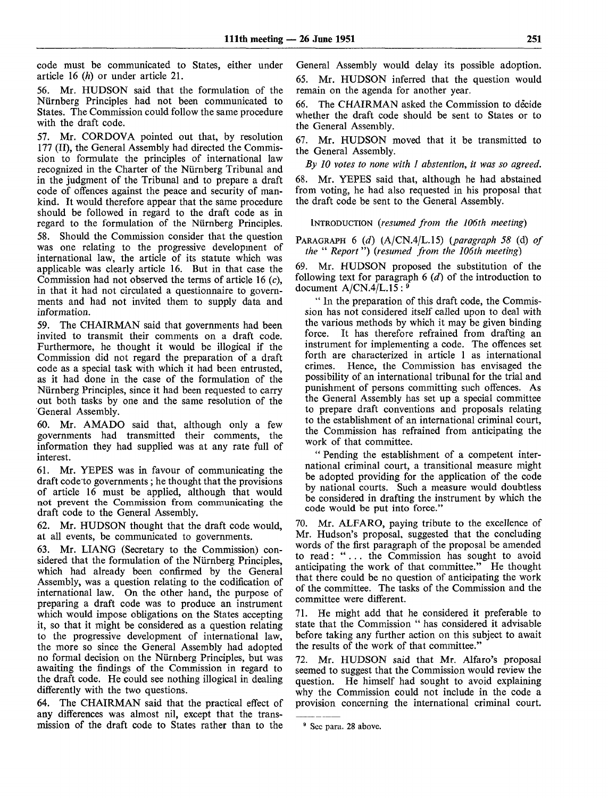code must be communicated to States, either under article 16 *(h)* or under article 21.

56. Mr. HUDSON said that the formulation of the Nurnberg Principles had not been communicated to States. The Commission could follow the same procedure with the draft code.

57. Mr. CORDOVA pointed out that, by resolution 177 (II), the General Assembly had directed the Commission to formulate the principles of international law recognized in the Charter of the Nurnberg Tribunal and in the judgment of the Tribunal and to prepare a draft code of offences against the peace and security of mankind. It would therefore appear that the same procedure should be followed in regard to the draft code as in regard to the formulation of the Nurnberg Principles. 58. Should the Commission consider that the question was one relating to the progressive development of international law, the article of its statute which was applicable was clearly article 16. But in that case the Commission had not observed the terms of article 16  $(c)$ , in that it had not circulated a questionnaire to governments and had not invited them to supply data and information.

59. The CHAIRMAN said that governments had been invited to transmit their comments on a draft code. Furthermore, he thought it would be illogical if the Commission did not regard the preparation of a draft code as a special task with which it had been entrusted, as it had done in the case of the formulation of the Nurnberg Principles, since it had been requested to carry out both tasks by one and the same resolution of the General Assembly.

60. Mr. AMADO said that, although only a few governments had transmitted their comments, the information they had supplied was at any rate full of interest.

61. Mr. YEPES was in favour of communicating the draft code to governments; he thought that the provisions of article 16 must be applied, although that would not prevent the Commission from communicating the draft code to the General Assembly.

62. Mr. HUDSON thought that the draft code would, at all events, be communicated to governments.

63. Mr. LIANG (Secretary to the Commission) considered that the formulation of the Nürnberg Principles, which had already been confirmed by the General Assembly, was a question relating to the codification of international law. On the other hand, the purpose of preparing a draft code was to produce an instrument which would impose obligations on the States accepting it, so that it might be considered as a question relating to the progressive development of international law, the more so since the General Assembly had adopted no formal decision on the Nurnberg Principles, but was awaiting the findings of the Commission in regard to the draft code. He could see nothing illogical in dealing differently with the two questions.

64. The CHAIRMAN said that the practical effect of any differences was almost nil, except that the transmission of the draft code to States rather than to the General Assembly would delay its possible adoption. 65. Mr. HUDSON inferred that the question would remain on the agenda for another year.

*66.* The CHAIRMAN asked the Commission to decide whether the draft code should be sent to States or to the General Assembly.

67. Mr. HUDSON moved that it be transmitted to the General Assembly.

*By 10 votes to none with 1 abstention, it was so agreed.*

68. Mr. YEPES said that, although he had abstained from voting, he had also requested in his proposal that the draft code be sent to the General Assembly.

INTRODUCTION *(resumed from the 106th meeting)*

PARAGRAPH 6 *(d)* (A/CN.4/L.15) *(paragraph 58* (d) *of the* " *Report*") *(resumed from the 106th meeting)*

69. Mr. HUDSON proposed the substitution of the following text for paragraph 6 *(d)* of the introduction to document  $A/CN.4/L.15:$ <sup>9</sup>

" In the preparation of this draft code, the Commission has not considered itself called upon to deal with the various methods by which it may be given binding force. It has therefore refrained from drafting an instrument for implementing a code. The offences set forth are characterized in article 1 as international crimes. Hence, the Commission has envisaged the possibility of an international tribunal for the trial and punishment of persons committing such offences. As the General Assembly has set up a special committee to prepare draft conventions and proposals relating to the establishment of an international criminal court, the Commission has refrained from anticipating the work of that committee.

" Pending the establishment of a competent international criminal court, a transitional measure might be adopted providing for the application of the code by national courts. Such a measure would doubtless be considered in drafting the instrument by which the code would be put into force."

70. Mr. ALFARO, paying tribute to the excellence of Mr. Hudson's proposal, suggested that the concluding words of the first paragraph of the proposal be amended to read: ".. . the Commission has sought to avoid anticipating the work of that committee." He thought that there could be no question of anticipating the work of the committee. The tasks of the Commission and the committee were different.

71. He might add that he considered it preferable to state that the Commission " has considered it advisable before taking any further action on this subject to await the results of the work of that committee."

72. Mr. HUDSON said that Mr. Alfaro's proposal seemed to suggest that the Commission would review the question. He himself had sought to avoid explaining why the Commission could not include in the code a provision concerning the international criminal court.

<sup>&</sup>lt;sup>9</sup> Sec para. 28 above.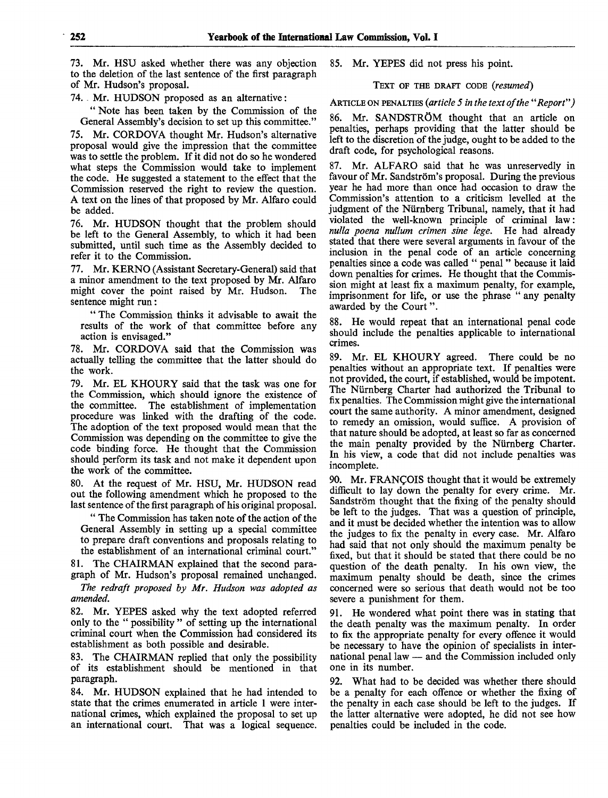73. Mr. HSU asked whether there was any objection to the deletion of the last sentence of the first paragraph of Mr. Hudson's proposal.

74. . Mr. HUDSON proposed as an alternative:

" Note has been taken by the Commission of the General Assembly's decision to set up this committee."

75. Mr. CORDOVA thought Mr. Hudson's alternative proposal would give the impression that the committee was to settle the problem. If it did not do so he wondered what steps the Commission would take to implement the code. He suggested a statement to the effect that the Commission reserved the right to review the question. A text on the lines of that proposed by Mr. Alfaro could be added.

76. Mr. HUDSON thought that the problem should be left to the General Assembly, to which it had been submitted, until such time as the Assembly decided to refer it to the Commission.

77. Mr. KERNO (Assistant Secretary-General) said that a minor amendment to the text proposed by Mr. Alfaro might cover the point raised by Mr. Hudson. The might cover the point raised by Mr. Hudson. sentence might run:

" The Commission thinks it advisable to await the results of the work of that committee before any action is envisaged."

78. Mr. CORDOVA said that the Commission was actually telling the committee that the latter should do the work.

79. Mr. EL KHOURY said that the task was one for the Commission, which should ignore the existence of the committee. The establishment of implementation The establishment of implementation procedure was linked with the drafting of the code. The adoption of the text proposed would mean that the Commission was depending on the committee to give the code binding force. He thought that the Commission should perform its task and not make it dependent upon the work of the committee.

80. At the request of Mr. HSU, Mr. HUDSON read out the following amendment which he proposed to the last sentence of the first paragraph of his original proposal.

" The Commission has taken note of the action of the General Assembly in setting up a special committee to prepare draft conventions and proposals relating to the establishment of an international criminal court."

The CHAIRMAN explained that the second paragraph of Mr. Hudson's proposal remained unchanged.

*The redraft proposed by Mr. Hudson was adopted as amended.*

82. Mr. YEPES asked why the text adopted referred only to the " possibility " of setting up the international criminal court when the Commission had considered its establishment as both possible and desirable.

83. The CHAIRMAN replied that only the possibility of its establishment should be mentioned in that paragraph.

84. Mr. HUDSON explained that he had intended to state that the crimes enumerated in article 1 were international crimes, which explained the proposal to set up an international court. That was a logical sequence.

85. Mr. YEPES did not press his point.

TEXT OF THE DRAFT CODE *(resumed)*

ARTICLE ON PENALTIES *(article 5 in the text of the "Report")*

86. Mr. SANDSTRÖM thought that an article on penalties, perhaps providing that the latter should be left to the discretion of the judge, ought to be added to the draft code, for psychological reasons.

87. Mr. ALFARO said that he was unreservedly in favour of Mr. Sandström's proposal. During the previous year he had more than once had occasion to draw the Commission's attention to a criticism levelled at the judgment of the Nurnberg Tribunal, namely, that it had violated the well-known principle of criminal law: *nulla poena nullum crimen sine lege.* He had already stated that there were several arguments in favour of the inclusion in the penal code of an article concerning penalties since a code was called " penal " because it laid down penalties for crimes. He thought that the Commission might at least fix a maximum penalty, for example, imprisonment for life, or use the phrase " any penalty awarded by the Court".

88. He would repeat that an international penal code should include the penalties applicable to international crimes.

89. Mr. EL KHOURY agreed. There could be no penalties without an appropriate text. If penalties were not provided, the court, if established, would be impotent. The Nurnberg Charter had authorized the Tribunal to fix penalties. The Commission might give the international court the same authority. A minor amendment, designed to remedy an omission, would suffice. A provision of that nature should be adopted, at least so far as concerned the main penalty provided by the Nurnberg Charter. In his view, a code that did not include penalties was incomplete.

90. Mr. FRANCOIS thought that it would be extremely difficult to lay down the penalty for every crime. Mr. Sandström thought that the fixing of the penalty should be left to the judges. That was a question of principle, and it must be decided whether the intention was to allow the judges to fix the penalty in every case. Mr. Alfaro had said that not only should the maximum penalty be fixed, but that it should be stated that there could be no question of the death penalty. In his own view, the maximum penalty should be death, since the crimes concerned were so serious that death would not be too severe a punishment for them.

91. He wondered what point there was in stating that the death penalty was the maximum penalty. In order to fix the appropriate penalty for every offence it would be necessary to have the opinion of specialists in international penal law — and the Commission included only one in its number.

92. What had to be decided was whether there should be a penalty for each offence or whether the fixing of the penalty in each case should be left to the judges. If the latter alternative were adopted, he did not see how penalties could be included in the code.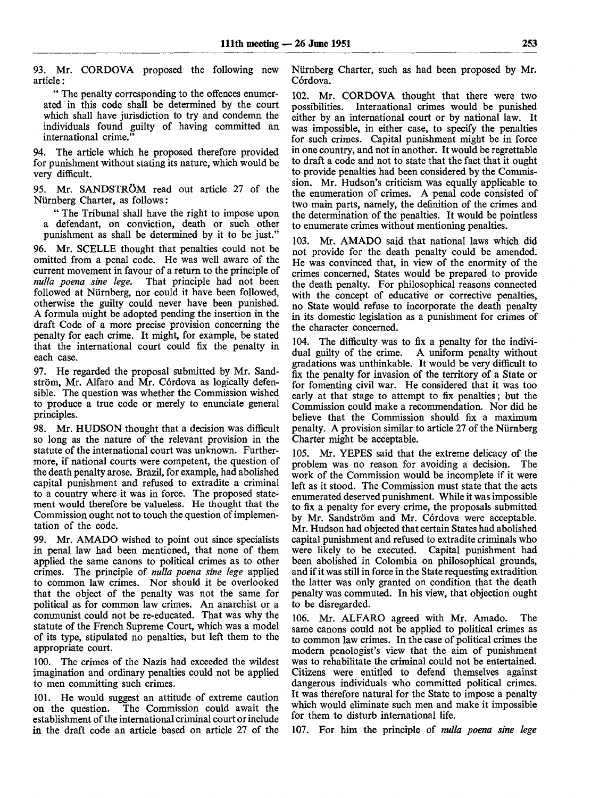93. Mr. CORDOVA proposed the following new article:

" The penalty corresponding to the offences enumerated in this code shall be determined by the court which shall have jurisdiction to try and condemn the individuals found guilty of having committed an international crime."

94. The article which he proposed therefore provided for punishment without stating its nature, which would be very difficult.

95. Mr. SANDSTRÖM read out article 27 of the Niirnberg Charter, as follows:

" The Tribunal shall have the right to impose upon a defendant, on conviction, death or such other punishment as shall be determined by it to be just."

96. Mr. SCELLE thought that penalties could not be omitted from a penal code. He was well aware of the current movement in favour of a return to the principle of *nulla poena sine lege.* That principle had not been followed at Niirnberg, nor could it have been followed, otherwise the guilty could never have been punished. A formula might be adopted pending the insertion in the draft Code of a more precise provision concerning the penalty for each crime. It might, for example, be stated that the international court could fix the penalty in each case.

97. He regarded the proposal submitted by Mr. Sandström, Mr. Alfaro and Mr. Córdova as logically defensible. The question was whether the Commission wished to produce a true code or merely to enunciate general principles.

98. Mr. HUDSON thought that a decision was difficult so long as the nature of the relevant provision in the statute of the international court was unknown. Furthermore, if national courts were competent, the question of the death penalty arose. Brazil, for example, had abolished capital punishment and refused to extradite a criminal to a country where it was in force. The proposed statement would therefore be valueless. He thought that the Commission ought not to touch the question of implementation of the code.

99. Mr. AMADO wished to point out since specialists in penal law had been mentioned, that none of them applied the same canons to political crimes as to other crimes. The principle of *nulla poena sine lege* applied to common law crimes. Nor should it be overlooked that the object of the penalty was not the same for political as for common law crimes. An anarchist or a communist could not be re-educated. That was why the statute of the French Supreme Court, which was a model of its type, stipulated no penalties, but left them to the appropriate court.

100. The crimes of the Nazis had exceeded the wildest imagination and ordinary penalties could not be applied to men committing such crimes.

101. He would suggest an attitude of extreme caution on the question. The Commission could await the establishment of the international criminal court or include in the draft code an article based on article 27 of the Niirnberg Charter, such as had been proposed by Mr. C6rdova.

102. Mr. CORDOVA thought that there were two possibilities. International crimes would be punished either by an international court or by national law. It was impossible, in either case, to specify the penalties for such crimes. Capital punishment might be in force in one country, and not in another. It would be regrettable to draft a code and not to state that the fact that it ought to provide penalties had been considered by the Commission. Mr. Hudson's criticism was equally applicable to the enumeration of crimes. A penal code consisted of two main parts, namely, the definition of the crimes and the determination of the penalties. It would be pointless to enumerate crimes without mentioning penalties.

103. Mr. AMADO said that national laws which did not provide for the death penalty could be amended. He was convinced that, in view of the enormity of the crimes concerned, States would be prepared to provide the death penalty. For philosophical reasons connected with the concept of educative or corrective penalties, no State would refuse to incorporate the death penalty in its domestic legislation as a punishment for crimes of the character concerned.

104. The difficulty was to fix a penalty for the individual guilty of the crime. A uniform penalty without A uniform penalty without gradations was unthinkable. It would be very difficult to fix the penalty for invasion of the territory of a State or for fomenting civil war. He considered that it was too early at that stage to attempt to fix penalties; but the Commission could make a recommendation. Nor did he believe that the Commission should fix a maximum penalty. A provision similar to article 27 of the Nurnberg Charter might be acceptable.

105. Mr. YEPES said that the extreme delicacy of the problem was no reason for avoiding a decision. The work of the Commission would be incomplete if it were left as it stood. The Commission must state that the acts enumerated deserved punishment. While it was impossible to fix a penalty for every crime, the proposals submitted by Mr. Sandström and Mr. Córdova were acceptable. Mr. Hudson had objected that certain States had abolished capital punishment and refused to extradite criminals who were likely to be executed. Capital punishment had been abolished in Colombia on philosophical grounds, and if it was still in force in the State requesting extradition the latter was only granted on condition that the death penalty was commuted. In his view, that objection ought to be disregarded.

106. Mr. ALFARO agreed with Mr. Amado. The same canons could not be applied to political crimes as to common law crimes. In the case of political crimes the modern penologist's view that the aim of punishment was to rehabilitate the criminal could not be entertained. Citizens were entitled to defend themselves against dangerous individuals who committed political crimes. It was therefore natural for the State to impose a penalty which would eliminate such men and make it impossible for them to disturb international life.

107. For him the principle of *nulla poena sine lege*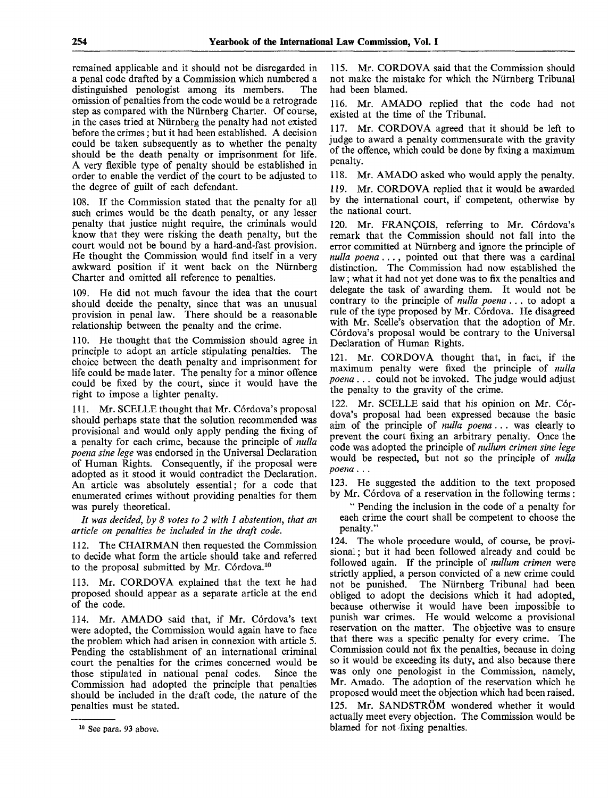remained applicable and it should not be disregarded in a penal code drafted by a Commission which numbered a distinguished penologist among its members. The omission of penalties from the code would be a retrograde step as compared with the Niirnberg Charter. Of course, in the cases tried at Nurnberg the penalty had not existed before the crimes; but it had been established. A decision could be taken subsequently as to whether the penalty should be the death penalty or imprisonment for life. A very flexible type of penalty should be established in order to enable the verdict of the court to be adjusted to the degree of guilt of each defendant.

108. If the Commission stated that the penalty for all such crimes would be the death penalty, or any lesser penalty that justice might require, the criminals would know that they were risking the death penalty, but the court would not be bound by a hard-and-fast provision. He thought the Commission would find itself in a very awkward position if it went back on the Nurnberg Charter and omitted all reference to penalties.

109. He did not much favour the idea that the court should decide the penalty, since that was an unusual provision in penal law. There should be a reasonable relationship between the penalty and the crime.

110. He thought that the Commission should agree in principle to adopt an article stipulating penalties. The choice between the death penalty and imprisonment for life could be made later. The penalty for a minor offence could be fixed by the court, since it would have the right to impose a lighter penalty.

111. Mr. SCELLE thought that Mr. Córdova's proposal should perhaps state that the solution recommended was provisional and would only apply pending the fixing of a penalty for each crime, because the principle of *nulla poena sine lege* was endorsed in the Universal Declaration of Human Rights. Consequently, if the proposal were adopted as it stood it would contradict the Declaration. An article was absolutely essential; for a code that enumerated crimes without providing penalties for them was purely theoretical.

*It was decided, by 8 votes to 2 with 1 abstention, that an article on penalties be included in the draft code.*

112. The CHAIRMAN then requested the Commission to decide what form the article should take and referred to the proposal submitted by Mr. Córdova.<sup>10</sup>

Mr. CORDOVA explained that the text he had proposed should appear as a separate article at the end of the code.

114. Mr. AMADO said that, if Mr. Córdova's text were adopted, the Commission would again have to face the problem which had arisen in connexion with article 5. Pending the establishment of an international criminal court the penalties for the crimes concerned would be those stipulated in national penal codes. Since the Commission had adopted the principle that penalties should be included in the draft code, the nature of the penalties must be stated.

115. Mr. CORDOVA said that the Commission should not make the mistake for which the Nurnberg Tribunal had been blamed.

116. Mr. AMADO replied that the code had not existed at the time of the Tribunal.

117. Mr. CORDOVA agreed that it should be left to judge to award a penalty commensurate with the gravity of the offence, which could be done by fixing a maximum penalty.

118. Mr. AMADO asked who would apply the penalty.

119. Mr. CORDOVA replied that it would be awarded by the international court, if competent, otherwise by the national court.

120. Mr. FRANÇOIS, referring to Mr. Córdova's remark that the Commission should not fall into the error committed at Nurnberg and ignore the principle of *nulla poena* . . ., pointed out that there was a cardinal distinction. The Commission had now established the law; what it had not yet done was to fix the penalties and delegate the task of awarding them. It would not be contrary to the principle of *nulla poena*... to adopt a rule of the type proposed by Mr. Córdova. He disagreed with Mr. Scelle's observation that the adoption of Mr. Córdova's proposal would be contrary to the Universal Declaration of Human Rights.

121. Mr. CORDOVA thought that, in fact, if the maximum penalty were fixed the principle of *nulla poena .. .* could not be invoked. The judge would adjust the penalty to the gravity of the crime.

122. Mr. SCELLE said that his opinion on Mr. Córdova's proposal had been expressed because the basic aim of the principle of *nulla poena.. .* was clearly to prevent the court fixing an arbitrary penalty. Once the code was adopted the principle of *nullum crimen sine lege* would be respected, but not so the principle of *nulla poena. . .*

123. He suggested the addition to the text proposed by Mr. Córdova of a reservation in the following terms:

" Pending the inclusion in the code of a penalty for each crime the court shall be competent to choose the penalty."

124. The whole procedure would, of course, be provisional ; but it had been followed already and could be followed again. If the principle of *nullum crimen* were strictly applied, a person convicted of a new crime could not be punished. The Nurnberg Tribunal had been obliged to adopt the decisions which it had adopted, because otherwise it would have been impossible to punish war crimes. He would welcome a provisional reservation on the matter. The objective was to ensure that there was a specific penalty for every crime. The Commission could not fix the penalties, because in doing so it would be exceeding its duty, and also because there was only one penologist in the Commission, namely, Mr. Amado. The adoption of the reservation which he proposed would meet the objection which had been raised. 125. Mr. SANDSTRÖM wondered whether it would actually meet every objection. The Commission would be blamed for not -fixing penalties.

<sup>&</sup>lt;sup>10</sup> See para. 93 above.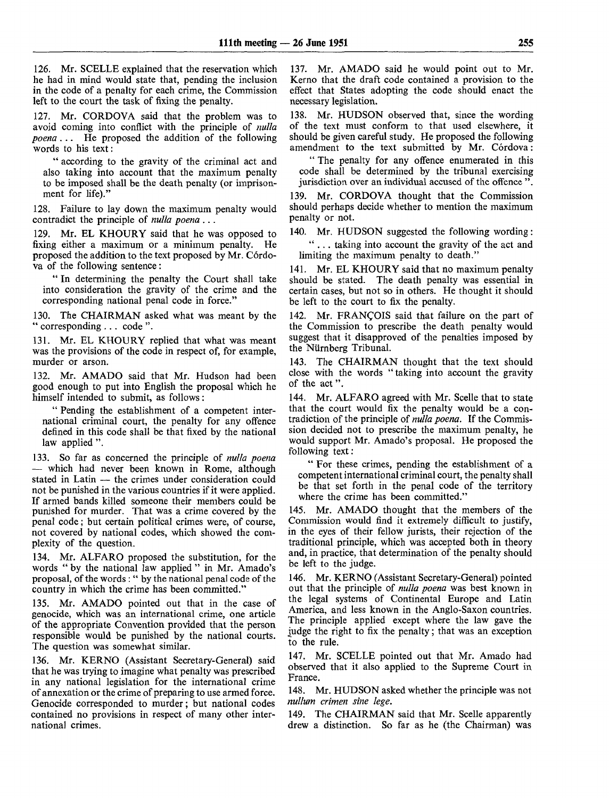126. Mr. SCELLE explained that the reservation which he had in mind would state that, pending the inclusion in the code of a penalty for each crime, the Commission left to the court the task of fixing the penalty.

127. Mr. CORDOVA said that the problem was to avoid coming into conflict with the principle of *nulla poena*... He proposed the addition of the following words to his text:

" according to the gravity of the criminal act and also taking into account that the maximum penalty to be imposed shall be the death penalty (or imprisonment for life)."

128. Failure to lay down the maximum penalty would contradict the principle of *nulla poena .*..

129. Mr. EL KHOURY said that he was opposed to fixing either a maximum or a minimum penalty. He proposed the addition to the text proposed by Mr. Cordova of the following sentence:

" In determining the penalty the Court shall take into consideration the gravity of the crime and the corresponding national penal code in force."

130. The CHAIRMAN asked what was meant by the " corresponding . . . code".

131. Mr. EL KHOURY replied that what was meant was the provisions of the code in respect of, for example, murder or arson.

132. Mr. AMADO said that Mr. Hudson had been good enough to put into English the proposal which he himself intended to submit, as follows :

" Pending the establishment of a competent international criminal court, the penalty for any offence defined in this code shall be that fixed by the national law applied ".

133. So far as concerned the principle of *nulla poena* — which had never been known in Rome, although stated in Latin — the crimes under consideration could not be punished in the various countries if it were applied. If armed bands killed someone their members could be punished for murder. That was a crime covered by the penal code; but certain political crimes were, of course, not covered by national codes, which showed the complexity of the question.

134. Mr. ALFARO proposed the substitution, for the words " by the national law applied " in Mr. Amado's proposal, of the words : " by the national penal code of the country in which the crime has been committed."

135. Mr. AMADO pointed out that in the case of genocide, which was an international crime, one article of the appropriate Convention provided that the person responsible would be punished by the national courts. The question was somewhat similar.

136. Mr. KERNO (Assistant Secretary-General) said that he was trying to imagine what penalty was prescribed in any national legislation for the international crime of annexation or the crime of preparing to use armed force. Genocide corresponded to murder; but national codes contained no provisions in respect of many other international crimes.

137. Mr. AMADO said he would point out to Mr. Kerno that the draft code contained a provision to the effect that States adopting the code should enact the necessary legislation.

138. Mr. HUDSON observed that, since the wording of the text must conform to that used elsewhere, it should be given careful study. He proposed the following amendment to the text submitted by Mr. Cordova:

" The penalty for any offence enumerated in this code shall be determined by the tribunal exercising jurisdiction over an individual accused of the offence "

139. Mr. CORDOVA thought that the Commission should perhaps decide whether to mention the maximum penalty or not.

140. Mr. HUDSON suggested the following wording: ".. . taking into account the gravity of the act and limiting the maximum penalty to death."

141. Mr. EL KHOURY said that no maximum penalty should be stated. The death penalty was essential in certain cases, but not so in others. He thought it should be left to the court to fix the penalty.

142. Mr. FRANCOIS said that failure on the part of the Commission to prescribe the death penalty would suggest that it disapproved of the penalties imposed by the Nürnberg Tribunal.

143. The CHAIRMAN thought that the text should close with the words "taking into account the gravity of the act".

144. Mr. ALFARO agreed with Mr. Scelle that to state that the court would fix the penalty would be a contradiction of the principle of *nulla poena.* If the Commission decided not to prescribe the maximum penalty, he would support Mr. Amado's proposal. He proposed the following text:

" For these crimes, pending the establishment of a competent international criminal court, the penalty shall be that set forth in the penal code of the territory where the crime has been committed."

145. Mr. AMADO thought that the members of the Commission would find it extremely difficult to justify, in the eyes of their fellow jurists, their rejection of the traditional principle, which was accepted both in theory and, in practice, that determination of the penalty should be left to the judge.

146. Mr. KERNO (Assistant Secretary-General) pointed out that the principle of *nulla poena* was best known in the legal systems of Continental Europe and Latin America, and less known in the Anglo-Saxon countries. The principle applied except where the law gave the judge the right to fix the penalty; that was an exception to the rule.

147. Mr. SCELLE pointed out that Mr. Amado had observed that it also applied to the Supreme Court in France.

148. Mr. HUDSON asked whether the principle was not *nullum crimen sine lege.*

149. The CHAIRMAN said that Mr. Scelle apparently drew a distinction. So far as he (the Chairman) was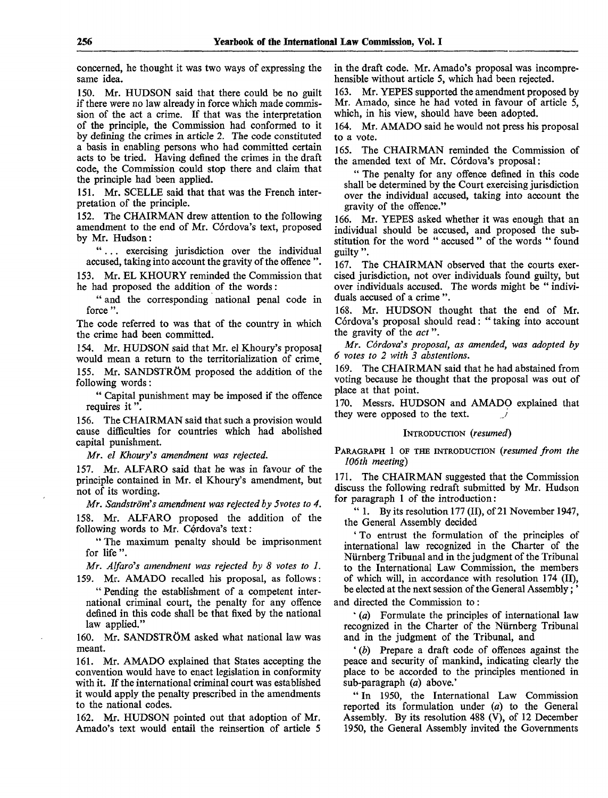concerned, he thought it was two ways of expressing the same idea.

150. Mr. HUDSON said that there could be no guilt if there were no law already in force which made commission of the act a crime. If that was the interpretation of the principle, the Commission had conformed to it by defining the crimes in article 2. The code constituted a basis in enabling persons who had committed certain acts to be tried. Having defined the crimes in the draft code, the Commission could stop there and claim that the principle had been applied.

151. Mr. SCELLE said that that was the French interpretation of the principle.

152. The CHAIRMAN drew attention to the following amendment to the end of Mr. Córdova's text, proposed by Mr. Hudson:

".. . exercising jurisdiction over the individual accused, taking into account the gravity of the offence ".

153. Mr. EL KHOURY reminded the Commission that he had proposed the addition of the words:

" and the corresponding national penal code in force ".

The code referred to was that of the country in which the crime had been committed.

154. Mr. HUDSON said that Mr. el Khoury's proposal would mean a return to the territorialization of crime, 155. Mr. SANDSTRÖM proposed the addition of the following words:

" Capital punishment may be imposed if the offence requires it".

156. The CHAIRMAN said that such a provision would cause difficulties for countries which had abolished capital punishment.

*Mr. el Khoury's amendment was rejected.*

157. Mr. ALFARO said that he was in favour of the principle contained in Mr. el Khoury's amendment, but not of its wording.

*Mr. Sandstrom's amendment was rejected by 5votes to 4.*

158. Mr. ALFARO proposed the addition of the following words to Mr. Cordova's text:

"The maximum penalty should be imprisonment for life ".

*Mr. Alfaro's amendment was rejected by 8 votes to 1.*

159. Mr. AMADO recalled his proposal, as follows: " Pending the establishment of a competent international criminal court, the penalty for any offence defined in this code shall be that fixed by the national law applied."

160. Mr. SANDSTRÖM asked what national law was meant.

161. Mr. AMADO explained that States accepting the convention would have to enact legislation in conformity with it. If the international criminal court was established it would apply the penalty prescribed in the amendments to the national codes.

162. Mr. HUDSON pointed out that adoption of Mr. Amado's text would entail the reinsertion of article 5

in the draft code. Mr. Amado's proposal was incomprehensible without article 5, which had been rejected.

163. Mr. YEPES supported the amendment proposed by Mr. Amado, since he had voted in favour of article  $\ddot{5}$ , which, in his view, should have been adopted.

164. Mr. AMADO said he would not press his proposal to a vote.

165. The CHAIRMAN reminded the Commission of the amended text of Mr. Córdova's proposal:

" The penalty for any offence defined in this code shall be determined by the Court exercising jurisdiction over the individual accused, taking into account the gravity of the offence."

166. Mr. YEPES asked whether it was enough that an individual should be accused, and proposed the substitution for the word " accused " of the words " found guilty ".

167. The CHAIRMAN observed that the courts exercised jurisdiction, not over individuals found guilty, but over individuals accused. The words might be " individuals accused of a crime ".

168. Mr. HUDSON thought that the end of Mr. Córdova's proposal should read: "taking into account the gravity of the *act*".

*Mr. Cordova's proposal, as amended, was adopted by 6 votes to 2 with 3 abstentions.*

169. The CHAIRMAN said that he had abstained from voting because he thought that the proposal was out of place at that point.

170. Messrs. HUDSON and AMADO explained that they were opposed to the text.

## INTRODUCTION *(resumed)*

PARAGRAPH 1 OF THE INTRODUCTION *(resumed from the 106th meeting)*

171. The CHAIRMAN suggested that the Commission discuss the following redraft submitted by Mr. Hudson for paragraph 1 of the introduction:

" 1. By its resolution 177 (II), of 21 November 1947, the General Assembly decided

' To entrust the formulation of the principles of international law recognized in the Charter of the Nurnberg Tribunal and in the judgment of the Tribunal to the International Law Commission, the members of which will, in accordance with resolution 174 (II), be elected at the next session of the General Assembly;

and directed the Commission to:

\* *(a)* Formulate the principles of international law recognized in the Charter of the Nurnberg Tribunal and in the judgment of the Tribunal, and

' *(b)* Prepare a draft code of offences against the peace and security of mankind, indicating clearly the place to be accorded to the principles mentioned in sub-paragraph *(a)* above.'

" In 1950, the International Law Commission reported its formulation under (a) to the General Assembly. By its resolution 488 (V), of 12 December 1950, the General Assembly invited the Governments